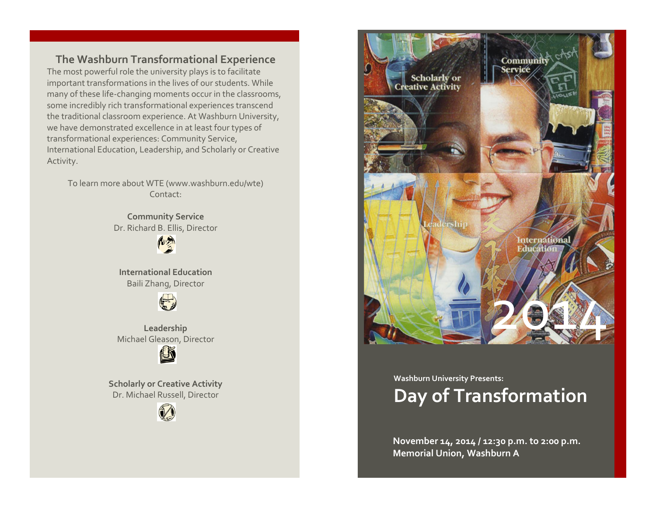**The Washburn Transformational Experience** The most powerful role the university plays is to facilitate important transformations in the lives of our students. While many of these life-changing moments occur in the classrooms, some incredibly rich transformational experiences transcend the traditional classroom experience. At Washburn University, we have demonstrated excellence in at least four types of transformational experiences: Community Service, International Education, Leadership, and Scholarly or Creative Activity.

To learn more about WTE (www.washburn.edu/wte) Contact:

> **Community Service** Dr. Richard B. Ellis, Director

> > **RUE**

**International Education** Baili Zhang, Director



**Leadership** Michael Gleason, Director



**Scholarly or Creative Activity** Dr. Michael Russell, Director





## **Washburn University Presents: Day of Transformation**

**November 14, 2014 / 12:30 p.m. to 2:00 p.m. Memorial Union, Washburn A**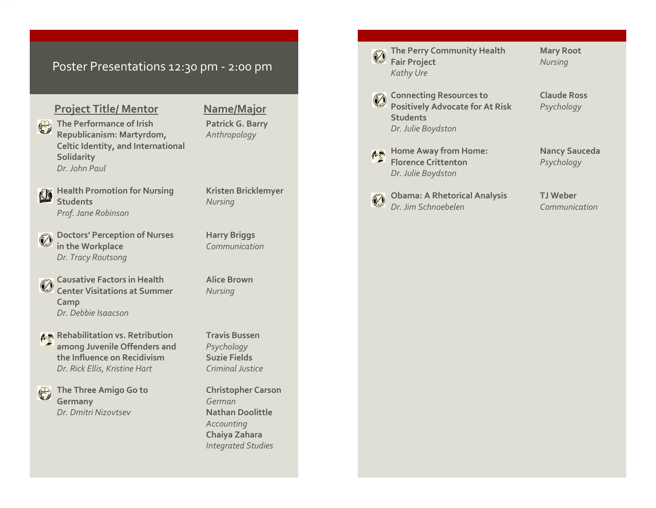## Poster Presentations 12:30 pm - 2:00 pm

## **Project Title/ Mentor Name/Major**

**The Performance of Irish Patrick G. Barry Republicanism: Martyrdom,** *Anthropology* **Celtic Identity, and International**

*Dr. John Paul* **Health Promotion for Nursing Kristen Bricklemyer** Ľ

**Students** *Nursing Prof. Jane Robinson*

**Solidarity**

**Doctors' Perception of Nurses Harry Briggs in the Workplace** *Communication Dr. Tracy Routsong*

**Causative Factors in Health Alice Brown Center Visitations at Summer** *Nursing* **Camp** *Dr. Debbie Isaacson*

**Rehabilitation vs. Retribution Fravis Bussen among Juvenile Offenders and** *Psychology* **the Influence on Recidivism Suzie Fields** *Dr. Rick Ellis, Kristine Hart Criminal Justice*

**The Three Amigo Go to Christopher Carson Germany** *German Dr. Dmitri Nizovtsev* **Nathan Doolittle**

 $\bigoplus$ 

*Accounting* **Chaiya Zahara** *Integrated Studies*

**The Perry Community Health Mary Root Fair Project** *Nursing Kathy Ure*

**Connecting Resources to Claude Ross Positively Advocate for At Risk** *Psychology* **Students** *Dr. Julie Boydston*

**Home Away from Home: Nancy Sauceda Florence Crittenton** *Psychology Dr. Julie Boydston*

**Obama: A Rhetorical Analysis TJ Weber** J *Dr. Jim Schnoebelen Communication*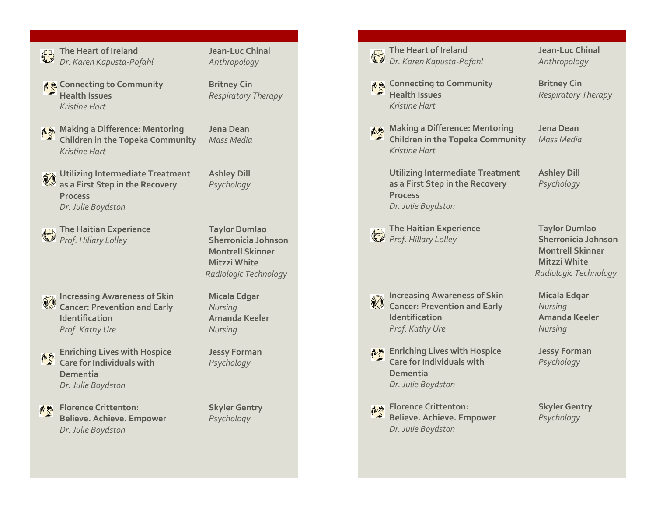

**The Heart of Ireland Jean-Luc Chinal** *Dr. Karen Kapusta-Pofahl Anthropology*

**A** Connecting to Community **Britney Cin Health Issues** *Respiratory Therapy Kristine Hart*

- 
- **Making a Difference: Mentoring Jena Dean Children in the Topeka Community** *Mass Media Kristine Hart*
	- **Utilizing Intermediate Treatment Ashley Dill as a First Step in the Recovery** *Psychology* **Process** *Dr. Julie Boydston*

**The Haitian Experience Taylor Dumlao** *Prof. Hillary Lolley* **Sherronicia Johnson**

**Montrell Skinner Mitzzi White** *Radiologic Technology*

- **Increasing Awareness of Skin Micala Edgar** Ø **Cancer: Prevention and Early** *Nursing* **Identification Amanda Keeler** *Prof. Kathy Ure Nursing*
- **Enriching Lives with Hospice Jessy Forman** 心 **Care for Individuals with** *Psychology* **Dementia** *Dr. Julie Boydston*

**A** Florence Crittenton: **Skyler Gentry Believe. Achieve. Empower** *Psychology Dr. Julie Boydston*

|  | The Heart of Ireland<br>Dr. Karen Kapusta-Pofahl                                                                   | <b>Jean-Luc Chinal</b><br>Anthropology                                                                                        |
|--|--------------------------------------------------------------------------------------------------------------------|-------------------------------------------------------------------------------------------------------------------------------|
|  | Connecting to Community ﴾ [1]<br><b>Health Issues</b><br><b>Kristine Hart</b>                                      | <b>Britney Cin</b><br><b>Respiratory Therapy</b>                                                                              |
|  | Making a Difference: Mentoring<br><b>Children in the Topeka Community</b><br><b>Kristine Hart</b>                  | Jena Dean<br><b>Mass Media</b>                                                                                                |
|  | <b>Utilizing Intermediate Treatment</b><br>as a First Step in the Recovery<br><b>Process</b><br>Dr. Julie Boydston | <b>Ashley Dill</b><br>Psychology                                                                                              |
|  | The Haitian Experience<br>Prof. Hillary Lolley                                                                     | <b>Taylor Dumlao</b><br><b>Sherronicia Johnson</b><br><b>Montrell Skinner</b><br><b>Mitzzi White</b><br>Radiologic Technology |
|  | <b>Increasing Awareness of Skin</b><br><b>Cancer: Prevention and Early</b><br>Identification<br>Prof. Kathy Ure    | <b>Micala Edgar</b><br>Nursing<br><b>Amanda Keeler</b><br>Nursing                                                             |
|  | Enriching Lives with Hospice<br><b>Care for Individuals with</b><br>Dementia<br>Dr. Julie Boydston                 | <b>Jessy Forman</b><br>Psychology                                                                                             |
|  | Florence Crittenton:<br><b>Believe. Achieve. Empower</b><br>Dr. Julie Boydston                                     | <b>Skyler Gentry</b><br>Psychology                                                                                            |
|  |                                                                                                                    |                                                                                                                               |